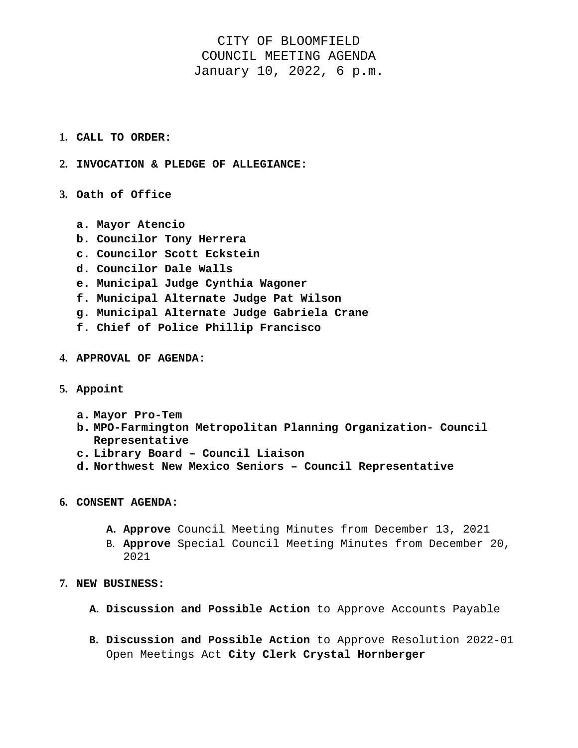## CITY OF BLOOMFIELD COUNCIL MEETING AGENDA January 10, 2022, 6 p.m.

- **1. CALL TO ORDER:**
- **2. INVOCATION & PLEDGE OF ALLEGIANCE:**
- **3. Oath of Office** 
	- **a. Mayor Atencio**
	- **b. Councilor Tony Herrera**
	- **c. Councilor Scott Eckstein**
	- **d. Councilor Dale Walls**
	- **e. Municipal Judge Cynthia Wagoner**
	- **f. Municipal Alternate Judge Pat Wilson**
	- **g. Municipal Alternate Judge Gabriela Crane**
	- **f. Chief of Police Phillip Francisco**
- **4. APPROVAL OF AGENDA**:
- **5. Appoint** 
	- **a. Mayor Pro-Tem**
	- **b. MPO-Farmington Metropolitan Planning Organization- Council Representative**
	- **c. Library Board Council Liaison**
	- **d. Northwest New Mexico Seniors Council Representative**
- **6. CONSENT AGENDA:** 
	- **A. Approve** Council Meeting Minutes from December 13, 2021
	- B. **Approve** Special Council Meeting Minutes from December 20, 2021
- **7. NEW BUSINESS:** 
	- **A. Discussion and Possible Action** to Approve Accounts Payable
	- **B. Discussion and Possible Action** to Approve Resolution 2022-01 Open Meetings Act **City Clerk Crystal Hornberger**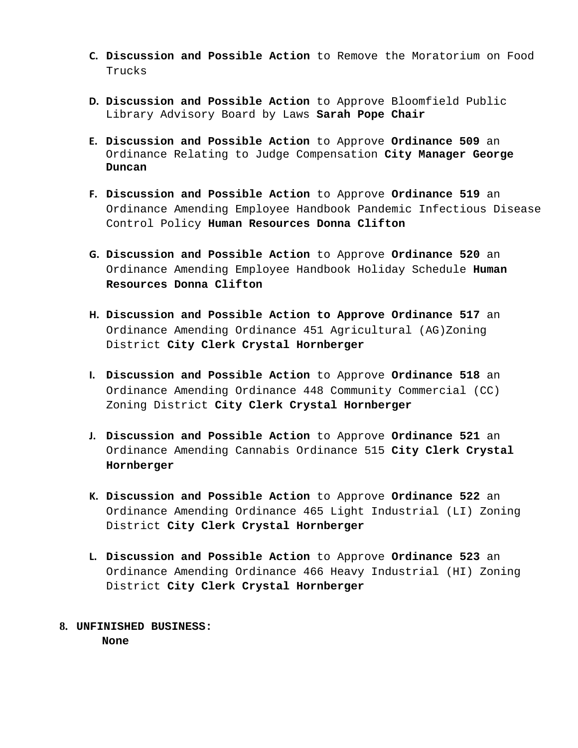- **C. Discussion and Possible Action** to Remove the Moratorium on Food Trucks
- **D. Discussion and Possible Action** to Approve Bloomfield Public Library Advisory Board by Laws **Sarah Pope Chair**
- **E. Discussion and Possible Action** to Approve **Ordinance 509** an Ordinance Relating to Judge Compensation **City Manager George Duncan**
- **F. Discussion and Possible Action** to Approve **Ordinance 519** an Ordinance Amending Employee Handbook Pandemic Infectious Disease Control Policy **Human Resources Donna Clifton**
- **G. Discussion and Possible Action** to Approve **Ordinance 520** an Ordinance Amending Employee Handbook Holiday Schedule **Human Resources Donna Clifton**
- **H. Discussion and Possible Action to Approve Ordinance 517** an Ordinance Amending Ordinance 451 Agricultural (AG)Zoning District **City Clerk Crystal Hornberger**
- **I. Discussion and Possible Action** to Approve **Ordinance 518** an Ordinance Amending Ordinance 448 Community Commercial (CC) Zoning District **City Clerk Crystal Hornberger**
- **J. Discussion and Possible Action** to Approve **Ordinance 521** an Ordinance Amending Cannabis Ordinance 515 **City Clerk Crystal Hornberger**
- **K. Discussion and Possible Action** to Approve **Ordinance 522** an Ordinance Amending Ordinance 465 Light Industrial (LI) Zoning District **City Clerk Crystal Hornberger**
- **L. Discussion and Possible Action** to Approve **Ordinance 523** an Ordinance Amending Ordinance 466 Heavy Industrial (HI) Zoning District **City Clerk Crystal Hornberger**
- **8. UNFINISHED BUSINESS: None**